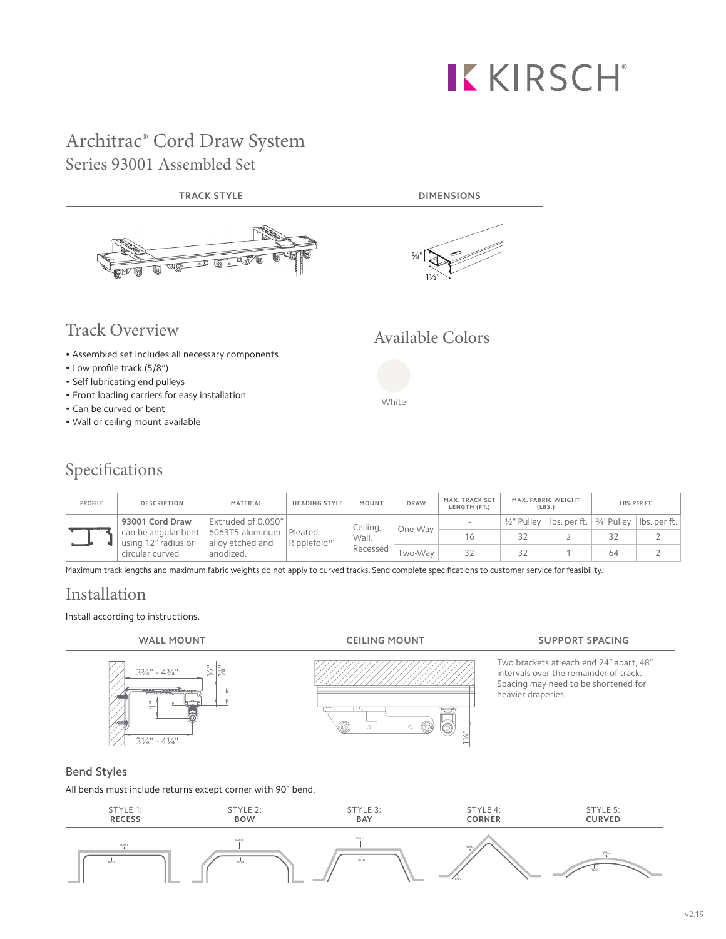# KKIRSCH®

## Architrac® Cord Draw System Series 93001 Assembled Set



- Self lubricating end pulleys
- Front loading carriers for easy installation
- Can be curved or bent
- Wall or ceiling mount available

# Specifications

| <b>PROFILE</b> | <b>DESCRIPTION</b>                                                              | MATERIAL                                 | <b>HEADING STYLE</b>    | MOUNT                         | <b>DRAW</b> | MAX. TRACK SET<br>LENGTH (FT.) | MAX. FABRIC WEIGHT     | (LBS.)                                 |    | LBS. PER FT. |
|----------------|---------------------------------------------------------------------------------|------------------------------------------|-------------------------|-------------------------------|-------------|--------------------------------|------------------------|----------------------------------------|----|--------------|
|                | 93001 Cord Draw<br>can be angular bent   6063T5 aluminum<br>using 12" radius or | Extruded of 0.050"  <br>alloy etched and | Pleated.<br>Ripplefold™ | Ceiling,<br>Wall.<br>Recessed | One-Wav     |                                | $\frac{1}{2}$ " Pullev | lbs. per ft.   ¾"Pulley   lbs. per ft. |    |              |
|                |                                                                                 |                                          |                         |                               |             |                                |                        |                                        |    |              |
|                | circular curved                                                                 | anodized.                                |                         |                               | Two-Wav     |                                |                        |                                        | 64 |              |

White

Maximum track lengths and maximum fabric weights do not apply to curved tracks. Send complete specifications to customer service for feasibility.

# Installation

### Install according to instructions.

# $3\frac{3}{4}$ " -  $4\frac{3}{4}$ " ½"  $\ddot{\bar{}}$ -<br>|<br>|

 $3\frac{1}{4}$ " -  $4\frac{1}{4}$ 

1¼"



Two brackets at each end 24" apart, 48" intervals over the remainder of track. Spacing may need to be shortened for heavier draperies.

### Bend Styles

All bends must include returns except corner with 90° bend.